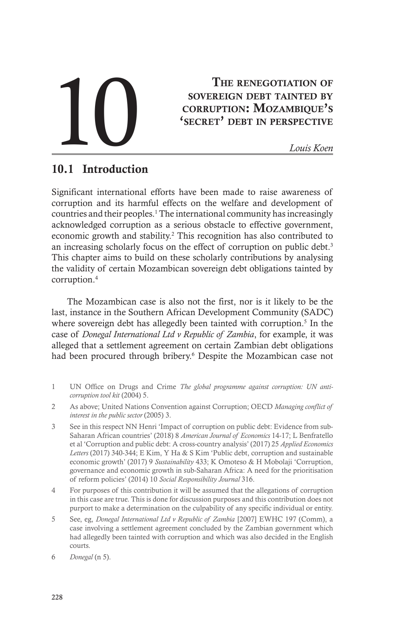# THE RENEGOTIATION OF SOVEREIGN DEBT TAINTED BY CORRUPTION: MOZAMBIQUE'S<br>
SECRET' DEBT IN PERSPECTIVE<br>
Louis Koen

# THE RENEGOTIATION OF sovereign debt tainted by corruption: Mozambique's

# 10.1 Introduction

Significant international efforts have been made to raise awareness of corruption and its harmful effects on the welfare and development of countries and their peoples.<sup>1</sup> The international community has increasingly acknowledged corruption as a serious obstacle to effective government, economic growth and stability.<sup>2</sup> This recognition has also contributed to an increasing scholarly focus on the effect of corruption on public debt.<sup>3</sup> This chapter aims to build on these scholarly contributions by analysing the validity of certain Mozambican sovereign debt obligations tainted by corruption.4

The Mozambican case is also not the first, nor is it likely to be the last, instance in the Southern African Development Community (SADC) where sovereign debt has allegedly been tainted with corruption.<sup>5</sup> In the case of *Donegal International Ltd v Republic of Zambia*, for example, it was alleged that a settlement agreement on certain Zambian debt obligations had been procured through bribery.<sup>6</sup> Despite the Mozambican case not

- 1 UN Office on Drugs and Crime *The global programme against corruption: UN anticorruption tool kit* (2004) 5.
- 2 As above; United Nations Convention against Corruption; OECD *Managing conflict of interest in the public sector* (2005) 3.
- 3 See in this respect NN Henri 'Impact of corruption on public debt: Evidence from sub-Saharan African countries' (2018) 8 *American Journal of Economics* 14-17; L Benfratello et al 'Corruption and public debt: A cross-country analysis' (2017) 25 *Applied Economics Letters* (2017) 340-344; E Kim, Y Ha & S Kim 'Public debt, corruption and sustainable economic growth' (2017) 9 *Sustainability* 433; K Omoteso & H Mobolaji 'Corruption, governance and economic growth in sub-Saharan Africa: A need for the prioritisation of reform policies' (2014) 10 *Social Responsibility Journal* 316.
- 4 For purposes of this contribution it will be assumed that the allegations of corruption in this case are true. This is done for discussion purposes and this contribution does not purport to make a determination on the culpability of any specific individual or entity.
- 5 See, eg, *Donegal International Ltd v Republic of Zambia* [2007] EWHC 197 (Comm), a case involving a settlement agreement concluded by the Zambian government which had allegedly been tainted with corruption and which was also decided in the English courts.

<sup>6</sup> *Donegal* (n 5).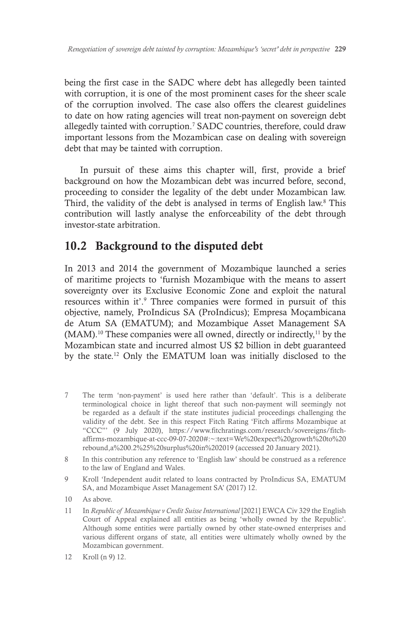being the first case in the SADC where debt has allegedly been tainted with corruption, it is one of the most prominent cases for the sheer scale of the corruption involved. The case also offers the clearest guidelines to date on how rating agencies will treat non-payment on sovereign debt allegedly tainted with corruption.7 SADC countries, therefore, could draw important lessons from the Mozambican case on dealing with sovereign debt that may be tainted with corruption.

In pursuit of these aims this chapter will, first, provide a brief background on how the Mozambican debt was incurred before, second, proceeding to consider the legality of the debt under Mozambican law. Third, the validity of the debt is analysed in terms of English law.<sup>8</sup> This contribution will lastly analyse the enforceability of the debt through investor-state arbitration.

# 10.2 Background to the disputed debt

In 2013 and 2014 the government of Mozambique launched a series of maritime projects to 'furnish Mozambique with the means to assert sovereignty over its Exclusive Economic Zone and exploit the natural resources within it'.<sup>9</sup> Three companies were formed in pursuit of this objective, namely, ProIndicus SA (ProIndicus); Empresa Moçambicana de Atum SA (EMATUM); and Mozambique Asset Management SA  $(MAM)$ .<sup>10</sup> These companies were all owned, directly or indirectly,<sup>11</sup> by the Mozambican state and incurred almost US \$2 billion in debt guaranteed by the state.12 Only the EMATUM loan was initially disclosed to the

- 7 The term 'non-payment' is used here rather than 'default'. This is a deliberate terminological choice in light thereof that such non-payment will seemingly not be regarded as a default if the state institutes judicial proceedings challenging the validity of the debt. See in this respect Fitch Rating 'Fitch affirms Mozambique at "CCC"' (9 July 2020), https://www.fitchratings.com/research/sovereigns/fitchaffirms-mozambique-at-ccc-09-07-2020#:~:text=We%20expect%20growth%20to%20 rebound,a%200.2%25%20surplus%20in%202019 (accessed 20 January 2021).
- 8 In this contribution any reference to 'English law' should be construed as a reference to the law of England and Wales.
- 9 Kroll 'Independent audit related to loans contracted by ProIndicus SA, EMATUM SA, and Mozambique Asset Management SA' (2017) 12.
- 10 As above.
- 11 In *Republic of Mozambique v Credit Suisse International* [2021] EWCA Civ 329 the English Court of Appeal explained all entities as being 'wholly owned by the Republic'. Although some entities were partially owned by other state-owned enterprises and various different organs of state, all entities were ultimately wholly owned by the Mozambican government.
- 12 Kroll (n 9) 12.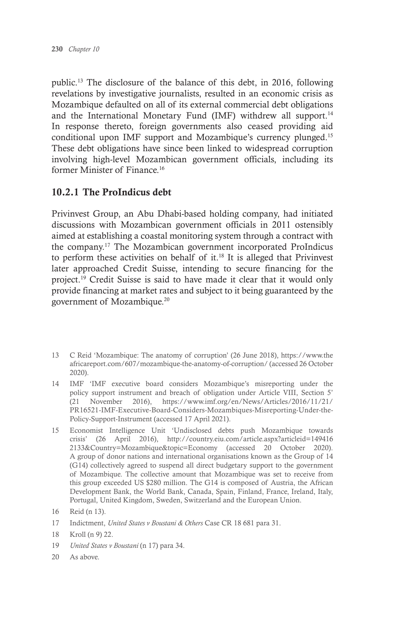public.13 The disclosure of the balance of this debt, in 2016, following revelations by investigative journalists, resulted in an economic crisis as Mozambique defaulted on all of its external commercial debt obligations and the International Monetary Fund (IMF) withdrew all support.<sup>14</sup> In response thereto, foreign governments also ceased providing aid conditional upon IMF support and Mozambique's currency plunged.15 These debt obligations have since been linked to widespread corruption involving high-level Mozambican government officials, including its former Minister of Finance.16

### 10.2.1 The ProIndicus debt

Privinvest Group, an Abu Dhabi-based holding company, had initiated discussions with Mozambican government officials in 2011 ostensibly aimed at establishing a coastal monitoring system through a contract with the company.17 The Mozambican government incorporated ProIndicus to perform these activities on behalf of it. $18$  It is alleged that Privinvest later approached Credit Suisse, intending to secure financing for the project.19 Credit Suisse is said to have made it clear that it would only provide financing at market rates and subject to it being guaranteed by the government of Mozambique.20

- 13 C Reid 'Mozambique: The anatomy of corruption' (26 June 2018), https://www.the africareport.com/607/mozambique-the-anatomy-of-corruption/ (accessed 26 October 2020).
- 14 IMF 'IMF executive board considers Mozambique's misreporting under the policy support instrument and breach of obligation under Article VIII, Section 5' (21 November 2016), https://www.imf.org/en/News/Articles/2016/11/21/ PR16521-IMF-Executive-Board-Considers-Mozambiques-Misreporting-Under-the-Policy-Support-Instrument (accessed 17 April 2021).
- 15 Economist Intelligence Unit 'Undisclosed debts push Mozambique towards crisis' (26 April 2016), http://country.eiu.com/article.aspx?articleid=149416 2133&Country=Mozambique&topic=Economy (accessed 20 October 2020). A group of donor nations and international organisations known as the Group of 14 (G14) collectively agreed to suspend all direct budgetary support to the government of Mozambique. The collective amount that Mozambique was set to receive from this group exceeded US \$280 million. The G14 is composed of Austria, the African Development Bank, the World Bank, Canada, Spain, Finland, France, Ireland, Italy, Portugal, United Kingdom, Sweden, Switzerland and the European Union.

- 17 Indictment, *United States v Boustani & Others* Case CR 18 681 para 31.
- 18 Kroll (n 9) 22.
- 19 *United States v Boustani* (n 17) para 34.
- 20 As above.

<sup>16</sup> Reid (n 13).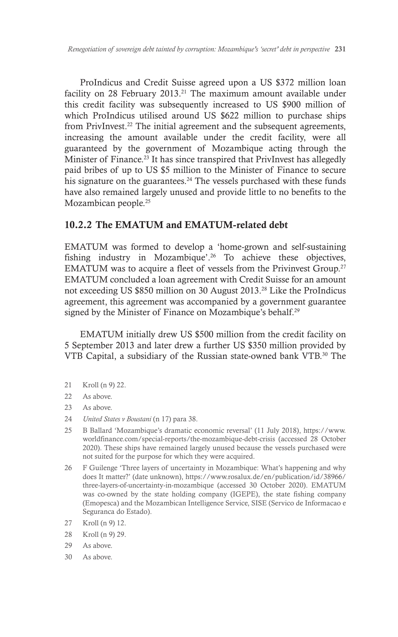ProIndicus and Credit Suisse agreed upon a US \$372 million loan facility on 28 February 2013.<sup>21</sup> The maximum amount available under this credit facility was subsequently increased to US \$900 million of which ProIndicus utilised around US \$622 million to purchase ships from PrivInvest.<sup>22</sup> The initial agreement and the subsequent agreements, increasing the amount available under the credit facility, were all guaranteed by the government of Mozambique acting through the Minister of Finance.<sup>23</sup> It has since transpired that PrivInvest has allegedly paid bribes of up to US \$5 million to the Minister of Finance to secure his signature on the guarantees.<sup>24</sup> The vessels purchased with these funds have also remained largely unused and provide little to no benefits to the Mozambican people.25

### 10.2.2 The EMATUM and EMATUM-related debt

EMATUM was formed to develop a 'home-grown and self-sustaining fishing industry in Mozambique'.<sup>26</sup> To achieve these objectives, EMATUM was to acquire a fleet of vessels from the Privinvest Group.<sup>27</sup> EMATUM concluded a loan agreement with Credit Suisse for an amount not exceeding US \$850 million on 30 August 2013.28 Like the ProIndicus agreement, this agreement was accompanied by a government guarantee signed by the Minister of Finance on Mozambique's behalf.<sup>29</sup>

EMATUM initially drew US \$500 million from the credit facility on 5 September 2013 and later drew a further US \$350 million provided by VTB Capital, a subsidiary of the Russian state-owned bank VTB.30 The

- 21 Kroll (n 9) 22.
- 22 As above.
- 23 As above.
- 24 *United States v Boustani* (n 17) para 38.
- 25 B Ballard 'Mozambique's dramatic economic reversal' (11 July 2018), https://www. worldfinance.com/special-reports/the-mozambique-debt-crisis (accessed 28 October 2020). These ships have remained largely unused because the vessels purchased were not suited for the purpose for which they were acquired.
- 26 F Guilenge 'Three layers of uncertainty in Mozambique: What's happening and why does It matter?' (date unknown), https://www.rosalux.de/en/publication/id/38966/ three-layers-of-uncertainty-in-mozambique (accessed 30 October 2020). EMATUM was co-owned by the state holding company (IGEPE), the state fishing company (Emopesca) and the Mozambican Intelligence Service, SISE (Servico de Informacao e Seguranca do Estado).
- 27 Kroll (n 9) 12.
- 28 Kroll (n 9) 29.
- 29 As above.
- 30 As above.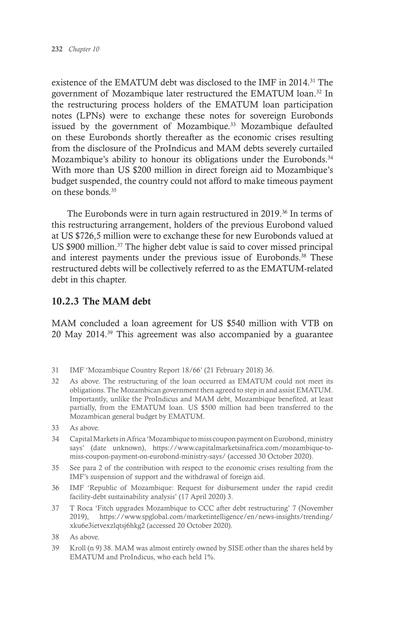existence of the EMATUM debt was disclosed to the IMF in 2014.<sup>31</sup> The government of Mozambique later restructured the EMATUM loan.32 In the restructuring process holders of the EMATUM loan participation notes (LPNs) were to exchange these notes for sovereign Eurobonds issued by the government of Mozambique.<sup>33</sup> Mozambique defaulted on these Eurobonds shortly thereafter as the economic crises resulting from the disclosure of the ProIndicus and MAM debts severely curtailed Mozambique's ability to honour its obligations under the Eurobonds.<sup>34</sup> With more than US \$200 million in direct foreign aid to Mozambique's budget suspended, the country could not afford to make timeous payment on these bonds.35

The Eurobonds were in turn again restructured in 2019.36 In terms of this restructuring arrangement, holders of the previous Eurobond valued at US \$726,5 million were to exchange these for new Eurobonds valued at US \$900 million.37 The higher debt value is said to cover missed principal and interest payments under the previous issue of Eurobonds.<sup>38</sup> These restructured debts will be collectively referred to as the EMATUM-related debt in this chapter.

### 10.2.3 The MAM debt

MAM concluded a loan agreement for US \$540 million with VTB on 20 May 2014.39 This agreement was also accompanied by a guarantee

- 31 IMF 'Mozambique Country Report 18/66' (21 February 2018) 36.
- 32 As above. The restructuring of the loan occurred as EMATUM could not meet its obligations. The Mozambican government then agreed to step in and assist EMATUM. Importantly, unlike the ProIndicus and MAM debt, Mozambique benefited, at least partially, from the EMATUM loan. US \$500 million had been transferred to the Mozambican general budget by EMATUM.
- 33 As above.
- 34 Capital Markets in Africa 'Mozambique to miss coupon payment on Eurobond, ministry says' (date unknown), https://www.capitalmarketsinafrica.com/mozambique-tomiss-coupon-payment-on-eurobond-ministry-says/ (accessed 30 October 2020).
- 35 See para 2 of the contribution with respect to the economic crises resulting from the IMF's suspension of support and the withdrawal of foreign aid.
- 36 IMF 'Republic of Mozambique: Request for disbursement under the rapid credit facility-debt sustainability analysis' (17 April 2020) 3.
- 37 T Roca 'Fitch upgrades Mozambique to CCC after debt restructuring' 7 (November 2019), https://www.spglobal.com/marketintelligence/en/news-insights/trending/ xku6e3ietvexzlqtsj6hkg2 (accessed 20 October 2020).
- 38 As above.
- 39 Kroll (n 9) 38. MAM was almost entirely owned by SISE other than the shares held by EMATUM and ProIndicus, who each held 1%.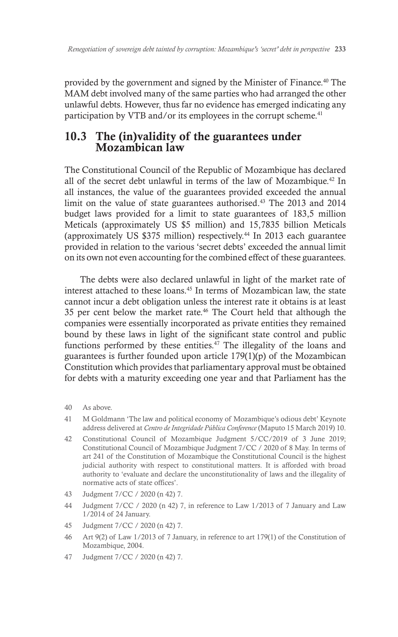provided by the government and signed by the Minister of Finance.40 The MAM debt involved many of the same parties who had arranged the other unlawful debts. However, thus far no evidence has emerged indicating any participation by VTB and/or its employees in the corrupt scheme.<sup>41</sup>

# 10.3 The (in)validity of the guarantees under Mozambican law

The Constitutional Council of the Republic of Mozambique has declared all of the secret debt unlawful in terms of the law of Mozambique.42 In all instances, the value of the guarantees provided exceeded the annual limit on the value of state guarantees authorised.<sup>43</sup> The 2013 and 2014 budget laws provided for a limit to state guarantees of 183,5 million Meticals (approximately US \$5 million) and 15,7835 billion Meticals (approximately US \$375 million) respectively.44 In 2013 each guarantee provided in relation to the various 'secret debts' exceeded the annual limit on its own not even accounting for the combined effect of these guarantees.

The debts were also declared unlawful in light of the market rate of interest attached to these loans.45 In terms of Mozambican law, the state cannot incur a debt obligation unless the interest rate it obtains is at least 35 per cent below the market rate.46 The Court held that although the companies were essentially incorporated as private entities they remained bound by these laws in light of the significant state control and public functions performed by these entities.<sup>47</sup> The illegality of the loans and guarantees is further founded upon article 179(1)(p) of the Mozambican Constitution which provides that parliamentary approval must be obtained for debts with a maturity exceeding one year and that Parliament has the

- 40 As above.
- 41 M Goldmann 'The law and political economy of Mozambique's odious debt' Keynote address delivered at *Centro de Integridade Pública Conference* (Maputo 15 March 2019) 10.
- 42 Constitutional Council of Mozambique Judgment 5/CC/2019 of 3 June 2019; Constitutional Council of Mozambique Judgment 7/CC / 2020 of 8 May. In terms of art 241 of the Constitution of Mozambique the Constitutional Council is the highest judicial authority with respect to constitutional matters. It is afforded with broad authority to 'evaluate and declare the unconstitutionality of laws and the illegality of normative acts of state offices'.
- 43 Judgment 7/CC / 2020 (n 42) 7.
- 44 Judgment 7/CC / 2020 (n 42) 7, in reference to Law 1/2013 of 7 January and Law 1/2014 of 24 January.
- 45 Judgment 7/CC / 2020 (n 42) 7.
- 46 Art 9(2) of Law 1/2013 of 7 January, in reference to art 179(1) of the Constitution of Mozambique, 2004.
- 47 Judgment 7/CC / 2020 (n 42) 7.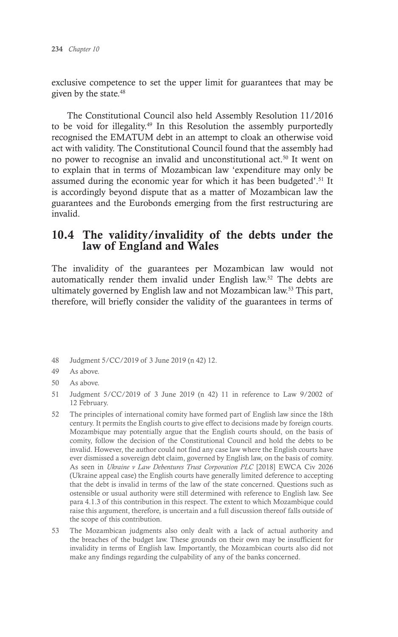exclusive competence to set the upper limit for guarantees that may be given by the state.48

The Constitutional Council also held Assembly Resolution 11/2016 to be void for illegality.49 In this Resolution the assembly purportedly recognised the EMATUM debt in an attempt to cloak an otherwise void act with validity. The Constitutional Council found that the assembly had no power to recognise an invalid and unconstitutional act.<sup>50</sup> It went on to explain that in terms of Mozambican law 'expenditure may only be assumed during the economic year for which it has been budgeted'.<sup>51</sup> It is accordingly beyond dispute that as a matter of Mozambican law the guarantees and the Eurobonds emerging from the first restructuring are invalid.

### 10.4 The validity/invalidity of the debts under the law of England and Wales

The invalidity of the guarantees per Mozambican law would not automatically render them invalid under English law.<sup>52</sup> The debts are ultimately governed by English law and not Mozambican law.53 This part, therefore, will briefly consider the validity of the guarantees in terms of

- 48 Judgment 5/CC/2019 of 3 June 2019 (n 42) 12.
- 49 As above.
- 50 As above.
- 51 Judgment 5/CC/2019 of 3 June 2019 (n 42) 11 in reference to Law 9/2002 of 12 February.
- 52 The principles of international comity have formed part of English law since the 18th century. It permits the English courts to give effect to decisions made by foreign courts. Mozambique may potentially argue that the English courts should, on the basis of comity, follow the decision of the Constitutional Council and hold the debts to be invalid. However, the author could not find any case law where the English courts have ever dismissed a sovereign debt claim, governed by English law, on the basis of comity. As seen in *Ukraine v Law Debentures Trust Corporation PLC* [2018] EWCA Civ 2026 (Ukraine appeal case) the English courts have generally limited deference to accepting that the debt is invalid in terms of the law of the state concerned. Questions such as ostensible or usual authority were still determined with reference to English law. See para 4.1.3 of this contribution in this respect. The extent to which Mozambique could raise this argument, therefore, is uncertain and a full discussion thereof falls outside of the scope of this contribution.
- 53 The Mozambican judgments also only dealt with a lack of actual authority and the breaches of the budget law. These grounds on their own may be insufficient for invalidity in terms of English law. Importantly, the Mozambican courts also did not make any findings regarding the culpability of any of the banks concerned.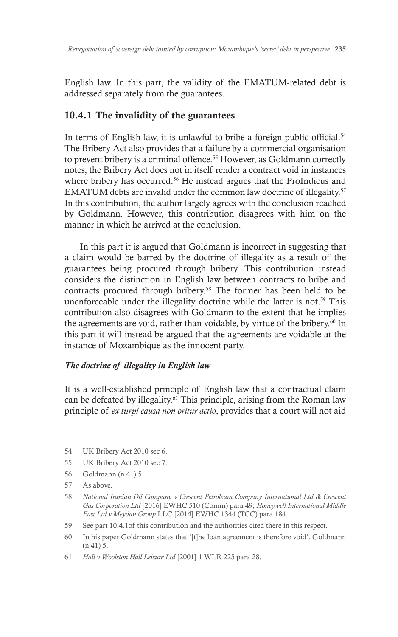English law. In this part, the validity of the EMATUM-related debt is addressed separately from the guarantees.

### 10.4.1 The invalidity of the guarantees

In terms of English law, it is unlawful to bribe a foreign public official.<sup>54</sup> The Bribery Act also provides that a failure by a commercial organisation to prevent bribery is a criminal offence.<sup>55</sup> However, as Goldmann correctly notes, the Bribery Act does not in itself render a contract void in instances where bribery has occurred.<sup>56</sup> He instead argues that the ProIndicus and EMATUM debts are invalid under the common law doctrine of illegality.57 In this contribution, the author largely agrees with the conclusion reached by Goldmann. However, this contribution disagrees with him on the manner in which he arrived at the conclusion.

In this part it is argued that Goldmann is incorrect in suggesting that a claim would be barred by the doctrine of illegality as a result of the guarantees being procured through bribery. This contribution instead considers the distinction in English law between contracts to bribe and contracts procured through bribery.<sup>58</sup> The former has been held to be unenforceable under the illegality doctrine while the latter is not.<sup>59</sup> This contribution also disagrees with Goldmann to the extent that he implies the agreements are void, rather than voidable, by virtue of the bribery.<sup>60</sup> In this part it will instead be argued that the agreements are voidable at the instance of Mozambique as the innocent party.

### *The doctrine of illegality in English law*

It is a well-established principle of English law that a contractual claim can be defeated by illegality.61 This principle, arising from the Roman law principle of *ex turpi causa non oritur actio*, provides that a court will not aid

- 54 UK Bribery Act 2010 sec 6.
- 55 UK Bribery Act 2010 sec 7.
- 56 Goldmann (n 41) 5.
- 57 As above.
- 58 *National Iranian Oil Company v Crescent Petroleum Company International Ltd & Crescent Gas Corporation Ltd* [2016] EWHC 510 (Comm) para 49; *Honeywell International Middle East Ltd v Meydan Group* LLC [2014] EWHC 1344 (TCC) para 184.
- 59 See part 10.4.1of this contribution and the authorities cited there in this respect.
- 60 In his paper Goldmann states that '[t]he loan agreement is therefore void'. Goldmann (n 41) 5.
- 61 *Hall v Woolston Hall Leisure Ltd* [2001] 1 WLR 225 para 28.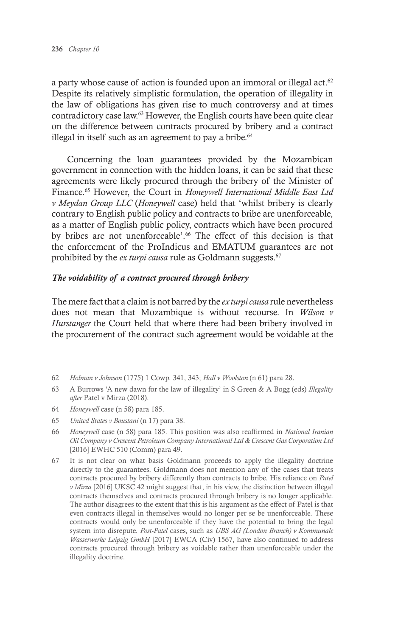a party whose cause of action is founded upon an immoral or illegal act.<sup>62</sup> Despite its relatively simplistic formulation, the operation of illegality in the law of obligations has given rise to much controversy and at times contradictory case law.63 However, the English courts have been quite clear on the difference between contracts procured by bribery and a contract illegal in itself such as an agreement to pay a bribe. $64$ 

Concerning the loan guarantees provided by the Mozambican government in connection with the hidden loans, it can be said that these agreements were likely procured through the bribery of the Minister of Finance.65 However, the Court in *Honeywell International Middle East Ltd v Meydan Group LLC* (*Honeywell* case) held that 'whilst bribery is clearly contrary to English public policy and contracts to bribe are unenforceable, as a matter of English public policy, contracts which have been procured by bribes are not unenforceable'.<sup>66</sup> The effect of this decision is that the enforcement of the ProIndicus and EMATUM guarantees are not prohibited by the *ex turpi causa* rule as Goldmann suggests.67

### *The voidability of a contract procured through bribery*

The mere fact that a claim is not barred by the *ex turpi causa* rule nevertheless does not mean that Mozambique is without recourse. In *Wilson v Hurstanger* the Court held that where there had been bribery involved in the procurement of the contract such agreement would be voidable at the

- 62 *Holman v Johnson* (1775) 1 Cowp. 341, 343; *Hall v Woolston* (n 61) para 28.
- 63 A Burrows 'A new dawn for the law of illegality' in S Green & A Bogg (eds) *Illegality after* Patel v Mirza (2018).
- 64 *Honeywell* case (n 58) para 185.
- 65 *United States v Boustani* (n 17) para 38.
- 66 *Honeywell* case (n 58) para 185. This position was also reaffirmed in *National Iranian Oil Company v Crescent Petroleum Company International Ltd & Crescent Gas Corporation Ltd* [2016] EWHC 510 (Comm) para 49.
- 67 It is not clear on what basis Goldmann proceeds to apply the illegality doctrine directly to the guarantees. Goldmann does not mention any of the cases that treats contracts procured by bribery differently than contracts to bribe. His reliance on *Patel v Mirza* [2016] UKSC 42 might suggest that, in his view, the distinction between illegal contracts themselves and contracts procured through bribery is no longer applicable. The author disagrees to the extent that this is his argument as the effect of Patel is that even contracts illegal in themselves would no longer per se be unenforceable. These contracts would only be unenforceable if they have the potential to bring the legal system into disrepute. *Post-Patel* cases, such as *UBS AG (London Branch) v Kommunale Wasserwerke Leipzig GmbH* [2017] EWCA (Civ) 1567, have also continued to address contracts procured through bribery as voidable rather than unenforceable under the illegality doctrine.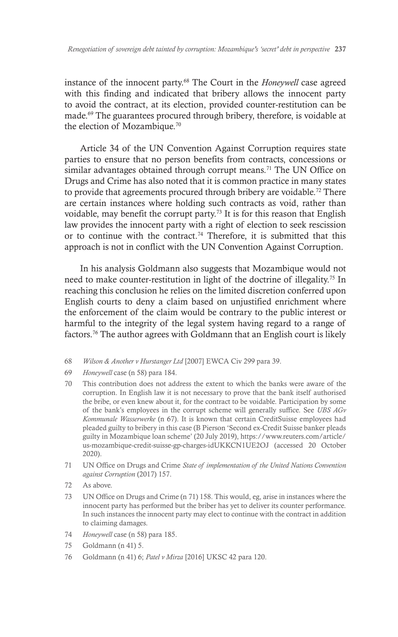instance of the innocent party.68 The Court in the *Honeywell* case agreed with this finding and indicated that bribery allows the innocent party to avoid the contract, at its election, provided counter-restitution can be made.69 The guarantees procured through bribery, therefore, is voidable at the election of Mozambique.70

Article 34 of the UN Convention Against Corruption requires state parties to ensure that no person benefits from contracts, concessions or similar advantages obtained through corrupt means.<sup>71</sup> The UN Office on Drugs and Crime has also noted that it is common practice in many states to provide that agreements procured through bribery are voidable.<sup>72</sup> There are certain instances where holding such contracts as void, rather than voidable, may benefit the corrupt party.73 It is for this reason that English law provides the innocent party with a right of election to seek rescission or to continue with the contract.<sup>74</sup> Therefore, it is submitted that this approach is not in conflict with the UN Convention Against Corruption.

In his analysis Goldmann also suggests that Mozambique would not need to make counter-restitution in light of the doctrine of illegality.75 In reaching this conclusion he relies on the limited discretion conferred upon English courts to deny a claim based on unjustified enrichment where the enforcement of the claim would be contrary to the public interest or harmful to the integrity of the legal system having regard to a range of factors.76 The author agrees with Goldmann that an English court is likely

- 68 *Wilson & Another v Hurstanger Ltd* [2007] EWCA Civ 299 para 39.
- 69 *Honeywell* case (n 58) para 184.
- 70 This contribution does not address the extent to which the banks were aware of the corruption. In English law it is not necessary to prove that the bank itself authorised the bribe, or even knew about it, for the contract to be voidable. Participation by some of the bank's employees in the corrupt scheme will generally suffice. See *UBS AGv Kommunale Wasserwerke* (n 67). It is known that certain CreditSuisse employees had pleaded guilty to bribery in this case (B Pierson 'Second ex-Credit Suisse banker pleads guilty in Mozambique loan scheme' (20 July 2019), https://www.reuters.com/article/ us-mozambique-credit-suisse-gp-charges-idUKKCN1UE2OJ (accessed 20 October 2020).
- 71 UN Office on Drugs and Crime *State of implementation of the United Nations Convention against Corruption* (2017) 157.
- 72 As above.
- 73 UN Office on Drugs and Crime (n 71) 158. This would, eg, arise in instances where the innocent party has performed but the briber has yet to deliver its counter performance. In such instances the innocent party may elect to continue with the contract in addition to claiming damages.
- 74 *Honeywell* case (n 58) para 185.
- 75 Goldmann (n 41) 5.
- 76 Goldmann (n 41) 6; *Patel v Mirza* [2016] UKSC 42 para 120.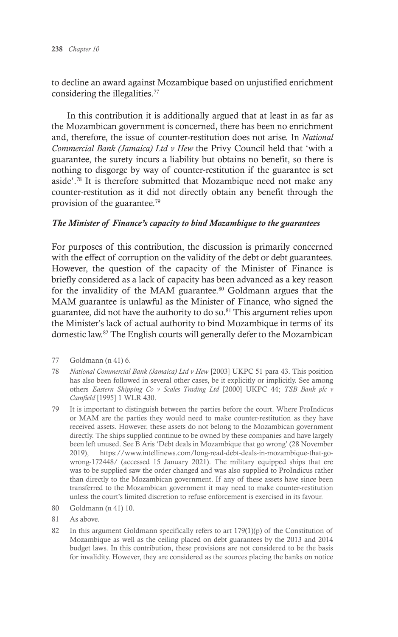to decline an award against Mozambique based on unjustified enrichment considering the illegalities.<sup>77</sup>

In this contribution it is additionally argued that at least in as far as the Mozambican government is concerned, there has been no enrichment and, therefore, the issue of counter-restitution does not arise. In *National Commercial Bank (Jamaica) Ltd v Hew* the Privy Council held that 'with a guarantee, the surety incurs a liability but obtains no benefit, so there is nothing to disgorge by way of counter-restitution if the guarantee is set aside'.<sup>78</sup> It is therefore submitted that Mozambique need not make any counter-restitution as it did not directly obtain any benefit through the provision of the guarantee.79

### *The Minister of Finance's capacity to bind Mozambique to the guarantees*

For purposes of this contribution, the discussion is primarily concerned with the effect of corruption on the validity of the debt or debt guarantees. However, the question of the capacity of the Minister of Finance is briefly considered as a lack of capacity has been advanced as a key reason for the invalidity of the MAM guarantee.<sup>80</sup> Goldmann argues that the MAM guarantee is unlawful as the Minister of Finance, who signed the guarantee, did not have the authority to do so.<sup>81</sup> This argument relies upon the Minister's lack of actual authority to bind Mozambique in terms of its domestic law.82 The English courts will generally defer to the Mozambican

- 78 *National Commercial Bank (Jamaica) Ltd v Hew* [2003] UKPC 51 para 43. This position has also been followed in several other cases, be it explicitly or implicitly. See among others *Eastern Shipping Co v Scales Trading Ltd* [2000] UKPC 44; *TSB Bank plc v Camfield* [1995] 1 WLR 430.
- 79 It is important to distinguish between the parties before the court. Where ProIndicus or MAM are the parties they would need to make counter-restitution as they have received assets. However, these assets do not belong to the Mozambican government directly. The ships supplied continue to be owned by these companies and have largely been left unused. See B Aris 'Debt deals in Mozambique that go wrong' (28 November 2019), https://www.intellinews.com/long-read-debt-deals-in-mozambique-that-gowrong-172448/ (accessed 15 January 2021). The military equipped ships that ere was to be supplied saw the order changed and was also supplied to ProIndicus rather than directly to the Mozambican government. If any of these assets have since been transferred to the Mozambican government it may need to make counter-restitution unless the court's limited discretion to refuse enforcement is exercised in its favour.
- 80 Goldmann (n 41) 10.
- 81 As above.
- 82 In this argument Goldmann specifically refers to art 179(1)(p) of the Constitution of Mozambique as well as the ceiling placed on debt guarantees by the 2013 and 2014 budget laws. In this contribution, these provisions are not considered to be the basis for invalidity. However, they are considered as the sources placing the banks on notice

<sup>77</sup> Goldmann (n 41) 6.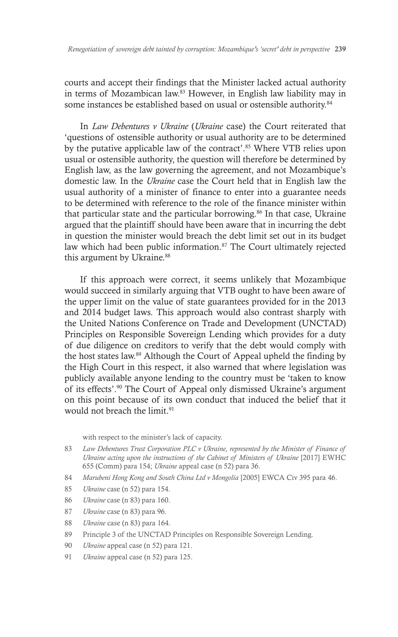courts and accept their findings that the Minister lacked actual authority in terms of Mozambican law.<sup>83</sup> However, in English law liability may in some instances be established based on usual or ostensible authority.<sup>84</sup>

In *Law Debentures v Ukraine* (*Ukraine* case) the Court reiterated that 'questions of ostensible authority or usual authority are to be determined by the putative applicable law of the contract'.<sup>85</sup> Where VTB relies upon usual or ostensible authority, the question will therefore be determined by English law, as the law governing the agreement, and not Mozambique's domestic law. In the *Ukraine* case the Court held that in English law the usual authority of a minister of finance to enter into a guarantee needs to be determined with reference to the role of the finance minister within that particular state and the particular borrowing.<sup>86</sup> In that case, Ukraine argued that the plaintiff should have been aware that in incurring the debt in question the minister would breach the debt limit set out in its budget law which had been public information.<sup>87</sup> The Court ultimately rejected this argument by Ukraine.<sup>88</sup>

If this approach were correct, it seems unlikely that Mozambique would succeed in similarly arguing that VTB ought to have been aware of the upper limit on the value of state guarantees provided for in the 2013 and 2014 budget laws. This approach would also contrast sharply with the United Nations Conference on Trade and Development (UNCTAD) Principles on Responsible Sovereign Lending which provides for a duty of due diligence on creditors to verify that the debt would comply with the host states law.89 Although the Court of Appeal upheld the finding by the High Court in this respect, it also warned that where legislation was publicly available anyone lending to the country must be 'taken to know of its effects'.90 The Court of Appeal only dismissed Ukraine's argument on this point because of its own conduct that induced the belief that it would not breach the limit.<sup>91</sup>

with respect to the minister's lack of capacity.

- 83 *Law Debentures Trust Corporation PLC v Ukraine, represented by the Minister of Finance of Ukraine acting upon the instructions of the Cabinet of Ministers of Ukraine* [2017] EWHC 655 (Comm) para 154; *Ukraine* appeal case (n 52) para 36.
- 84 *Marubeni Hong Kong and South China Ltd v Mongolia* [2005] EWCA Civ 395 para 46.
- 85 *Ukraine* case (n 52) para 154.
- 86 *Ukraine* case (n 83) para 160.
- 87 *Ukraine* case (n 83) para 96.
- 88 *Ukraine* case (n 83) para 164.
- 89 Principle 3 of the UNCTAD Principles on Responsible Sovereign Lending.
- 90 *Ukraine* appeal case (n 52) para 121.
- 91 *Ukraine* appeal case (n 52) para 125.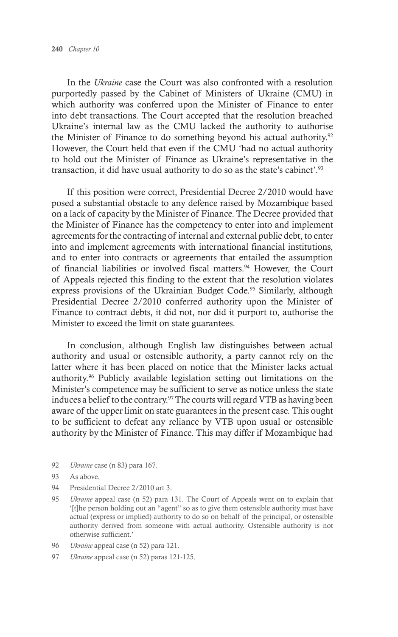In the *Ukraine* case the Court was also confronted with a resolution purportedly passed by the Cabinet of Ministers of Ukraine (CMU) in which authority was conferred upon the Minister of Finance to enter into debt transactions. The Court accepted that the resolution breached Ukraine's internal law as the CMU lacked the authority to authorise the Minister of Finance to do something beyond his actual authority.<sup>92</sup> However, the Court held that even if the CMU 'had no actual authority to hold out the Minister of Finance as Ukraine's representative in the transaction, it did have usual authority to do so as the state's cabinet'.<sup>93</sup>

If this position were correct, Presidential Decree 2/2010 would have posed a substantial obstacle to any defence raised by Mozambique based on a lack of capacity by the Minister of Finance. The Decree provided that the Minister of Finance has the competency to enter into and implement agreements for the contracting of internal and external public debt, to enter into and implement agreements with international financial institutions, and to enter into contracts or agreements that entailed the assumption of financial liabilities or involved fiscal matters.<sup>94</sup> However, the Court of Appeals rejected this finding to the extent that the resolution violates express provisions of the Ukrainian Budget Code.<sup>95</sup> Similarly, although Presidential Decree 2/2010 conferred authority upon the Minister of Finance to contract debts, it did not, nor did it purport to, authorise the Minister to exceed the limit on state guarantees.

In conclusion, although English law distinguishes between actual authority and usual or ostensible authority, a party cannot rely on the latter where it has been placed on notice that the Minister lacks actual authority.96 Publicly available legislation setting out limitations on the Minister's competence may be sufficient to serve as notice unless the state induces a belief to the contrary.97 The courts will regard VTB as having been aware of the upper limit on state guarantees in the present case. This ought to be sufficient to defeat any reliance by VTB upon usual or ostensible authority by the Minister of Finance. This may differ if Mozambique had

92 *Ukraine* case (n 83) para 167.

- 94 Presidential Decree 2/2010 art 3.
- 95 *Ukraine* appeal case (n 52) para 131. The Court of Appeals went on to explain that '[t]he person holding out an "agent" so as to give them ostensible authority must have actual (express or implied) authority to do so on behalf of the principal, or ostensible authority derived from someone with actual authority. Ostensible authority is not otherwise sufficient.'
- 96 *Ukraine* appeal case (n 52) para 121.
- 97 *Ukraine* appeal case (n 52) paras 121-125.

<sup>93</sup> As above.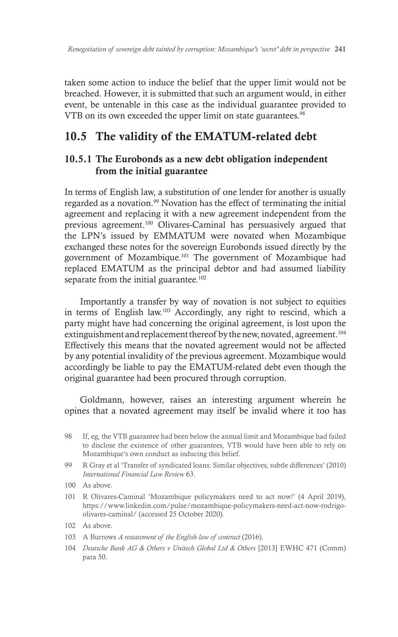taken some action to induce the belief that the upper limit would not be breached. However, it is submitted that such an argument would, in either event, be untenable in this case as the individual guarantee provided to VTB on its own exceeded the upper limit on state guarantees.<sup>98</sup>

# 10.5 The validity of the EMATUM-related debt

### 10.5.1 The Eurobonds as a new debt obligation independent from the initial guarantee

In terms of English law, a substitution of one lender for another is usually regarded as a novation.<sup>99</sup> Novation has the effect of terminating the initial agreement and replacing it with a new agreement independent from the previous agreement.100 Olivares-Caminal has persuasively argued that the LPN's issued by EMMATUM were novated when Mozambique exchanged these notes for the sovereign Eurobonds issued directly by the government of Mozambique.101 The government of Mozambique had replaced EMATUM as the principal debtor and had assumed liability separate from the initial guarantee.<sup>102</sup>

Importantly a transfer by way of novation is not subject to equities in terms of English law.103 Accordingly, any right to rescind, which a party might have had concerning the original agreement, is lost upon the extinguishment and replacement thereof by the new, novated, agreement.<sup>104</sup> Effectively this means that the novated agreement would not be affected by any potential invalidity of the previous agreement. Mozambique would accordingly be liable to pay the EMATUM-related debt even though the original guarantee had been procured through corruption.

Goldmann, however, raises an interesting argument wherein he opines that a novated agreement may itself be invalid where it too has

- 98 If, eg, the VTB guarantee had been below the annual limit and Mozambique had failed to disclose the existence of other guarantees, VTB would have been able to rely on Mozambique's own conduct as inducing this belief.
- 99 R Gray et al 'Transfer of syndicated loans: Similar objectives, subtle differences' (2010) *International Financial Law Review* 63.
- 100 As above.
- 101 R Olivares-Caminal 'Mozambique policymakers need to act now!' (4 April 2019), https://www.linkedin.com/pulse/mozambique-policymakers-need-act-now-rodrigoolivares-caminal/ (accessed 25 October 2020).
- 102 As above.
- 103 A Burrows *A restatement of the English law of contract* (2016).
- 104 *Deutsche Bank AG & Others v Unitech Global Ltd & Others* [2013] EWHC 471 (Comm) para 50.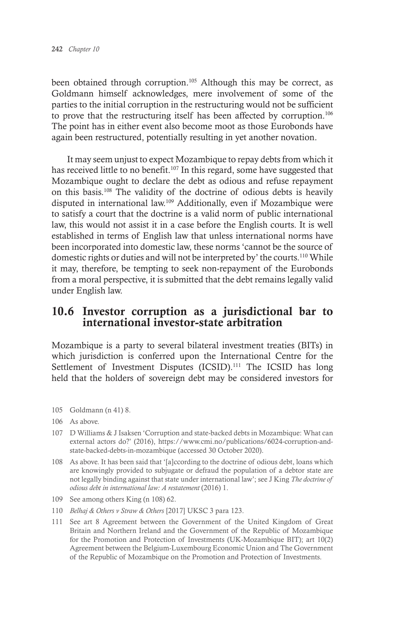been obtained through corruption.<sup>105</sup> Although this may be correct, as Goldmann himself acknowledges, mere involvement of some of the parties to the initial corruption in the restructuring would not be sufficient to prove that the restructuring itself has been affected by corruption.<sup>106</sup> The point has in either event also become moot as those Eurobonds have again been restructured, potentially resulting in yet another novation.

It may seem unjust to expect Mozambique to repay debts from which it has received little to no benefit.<sup>107</sup> In this regard, some have suggested that Mozambique ought to declare the debt as odious and refuse repayment on this basis.108 The validity of the doctrine of odious debts is heavily disputed in international law.109 Additionally, even if Mozambique were to satisfy a court that the doctrine is a valid norm of public international law, this would not assist it in a case before the English courts. It is well established in terms of English law that unless international norms have been incorporated into domestic law, these norms 'cannot be the source of domestic rights or duties and will not be interpreted by' the courts.110 While it may, therefore, be tempting to seek non-repayment of the Eurobonds from a moral perspective, it is submitted that the debt remains legally valid under English law.

# 10.6 Investor corruption as a jurisdictional bar to international investor-state arbitration

Mozambique is a party to several bilateral investment treaties (BITs) in which jurisdiction is conferred upon the International Centre for the Settlement of Investment Disputes (ICSID).<sup>111</sup> The ICSID has long held that the holders of sovereign debt may be considered investors for

- 105 Goldmann (n 41) 8.
- 106 As above.
- 107 D Williams & J Isaksen 'Corruption and state-backed debts in Mozambique: What can external actors do?' (2016), https://www.cmi.no/publications/6024-corruption-andstate-backed-debts-in-mozambique (accessed 30 October 2020).
- 108 As above. It has been said that '[a]ccording to the doctrine of odious debt, loans which are knowingly provided to subjugate or defraud the population of a debtor state are not legally binding against that state under international law'; see J King *The doctrine of odious debt in international law: A restatement* (2016) 1.
- 109 See among others King (n 108) 62.
- 110 *Belhaj & Others v Straw & Others* [2017] UKSC 3 para 123.
- 111 See art 8 Agreement between the Government of the United Kingdom of Great Britain and Northern Ireland and the Government of the Republic of Mozambique for the Promotion and Protection of Investments (UK-Mozambique BIT); art 10(2) Agreement between the Belgium-Luxembourg Economic Union and The Government of the Republic of Mozambique on the Promotion and Protection of Investments.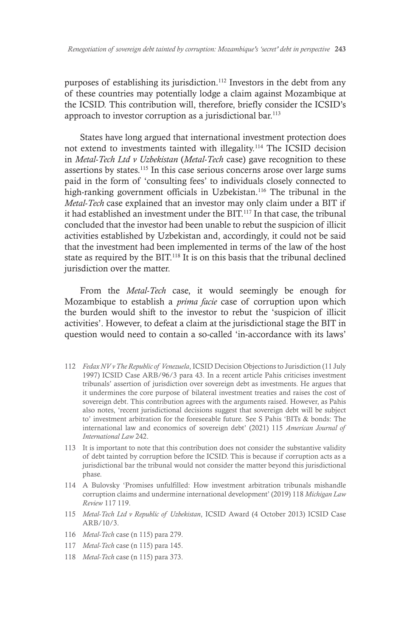purposes of establishing its jurisdiction.112 Investors in the debt from any of these countries may potentially lodge a claim against Mozambique at the ICSID. This contribution will, therefore, briefly consider the ICSID's approach to investor corruption as a jurisdictional bar.<sup>113</sup>

States have long argued that international investment protection does not extend to investments tainted with illegality.114 The ICSID decision in *Metal-Tech Ltd v Uzbekistan* (*Metal-Tech* case) gave recognition to these assertions by states.115 In this case serious concerns arose over large sums paid in the form of 'consulting fees' to individuals closely connected to high-ranking government officials in Uzbekistan.<sup>116</sup> The tribunal in the *Metal-Tech* case explained that an investor may only claim under a BIT if it had established an investment under the BIT.<sup>117</sup> In that case, the tribunal concluded that the investor had been unable to rebut the suspicion of illicit activities established by Uzbekistan and, accordingly, it could not be said that the investment had been implemented in terms of the law of the host state as required by the BIT.<sup>118</sup> It is on this basis that the tribunal declined jurisdiction over the matter.

From the *Metal-Tech* case, it would seemingly be enough for Mozambique to establish a *prima facie* case of corruption upon which the burden would shift to the investor to rebut the 'suspicion of illicit activities'. However, to defeat a claim at the jurisdictional stage the BIT in question would need to contain a so-called 'in-accordance with its laws'

- 112 *Fedax NV v The Republic of Venezuela*, ICSID Decision Objections to Jurisdiction (11 July 1997) ICSID Case ARB/96/3 para 43. In a recent article Pahis criticises investment tribunals' assertion of jurisdiction over sovereign debt as investments. He argues that it undermines the core purpose of bilateral investment treaties and raises the cost of sovereign debt. This contribution agrees with the arguments raised. However, as Pahis also notes, 'recent jurisdictional decisions suggest that sovereign debt will be subject to' investment arbitration for the foreseeable future. See S Pahis 'BITs & bonds: The international law and economics of sovereign debt' (2021) 115 *American Journal of International Law* 242.
- 113 It is important to note that this contribution does not consider the substantive validity of debt tainted by corruption before the ICSID. This is because if corruption acts as a jurisdictional bar the tribunal would not consider the matter beyond this jurisdictional phase.
- 114 A Bulovsky 'Promises unfulfilled: How investment arbitration tribunals mishandle corruption claims and undermine international development' (2019) 118 *Michigan Law Review* 117 119.
- 115 *Metal-Tech Ltd v Republic of Uzbekistan*, ICSID Award (4 October 2013) ICSID Case ARB/10/3.
- 116 *Metal-Tech* case (n 115) para 279.
- 117 *Metal-Tech* case (n 115) para 145.
- 118 *Metal-Tech* case (n 115) para 373.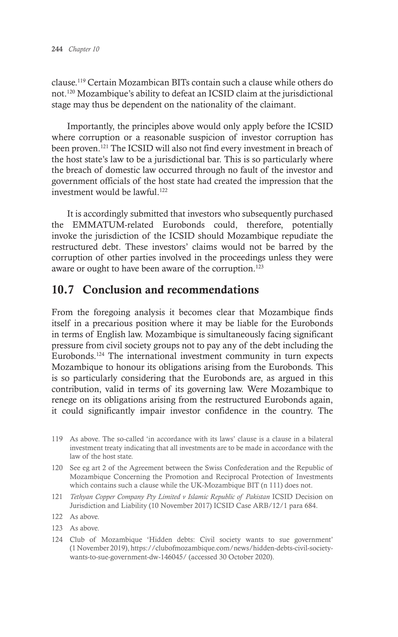clause.119 Certain Mozambican BITs contain such a clause while others do not.120 Mozambique's ability to defeat an ICSID claim at the jurisdictional stage may thus be dependent on the nationality of the claimant.

Importantly, the principles above would only apply before the ICSID where corruption or a reasonable suspicion of investor corruption has been proven.121 The ICSID will also not find every investment in breach of the host state's law to be a jurisdictional bar. This is so particularly where the breach of domestic law occurred through no fault of the investor and government officials of the host state had created the impression that the investment would be lawful.<sup>122</sup>

It is accordingly submitted that investors who subsequently purchased the EMMATUM-related Eurobonds could, therefore, potentially invoke the jurisdiction of the ICSID should Mozambique repudiate the restructured debt. These investors' claims would not be barred by the corruption of other parties involved in the proceedings unless they were aware or ought to have been aware of the corruption.<sup>123</sup>

# 10.7 Conclusion and recommendations

From the foregoing analysis it becomes clear that Mozambique finds itself in a precarious position where it may be liable for the Eurobonds in terms of English law. Mozambique is simultaneously facing significant pressure from civil society groups not to pay any of the debt including the Eurobonds.124 The international investment community in turn expects Mozambique to honour its obligations arising from the Eurobonds. This is so particularly considering that the Eurobonds are, as argued in this contribution, valid in terms of its governing law. Were Mozambique to renege on its obligations arising from the restructured Eurobonds again, it could significantly impair investor confidence in the country. The

- 119 As above. The so-called 'in accordance with its laws' clause is a clause in a bilateral investment treaty indicating that all investments are to be made in accordance with the law of the host state.
- 120 See eg art 2 of the Agreement between the Swiss Confederation and the Republic of Mozambique Concerning the Promotion and Reciprocal Protection of Investments which contains such a clause while the UK-Mozambique BIT (n 111) does not.
- 121 *Tethyan Copper Company Pty Limited v Islamic Republic of Pakistan* ICSID Decision on Jurisdiction and Liability (10 November 2017) ICSID Case ARB/12/1 para 684.

- 123 As above.
- 124 Club of Mozambique 'Hidden debts: Civil society wants to sue government' (1 November 2019), https://clubofmozambique.com/news/hidden-debts-civil-societywants-to-sue-government-dw-146045/ (accessed 30 October 2020).

<sup>122</sup> As above.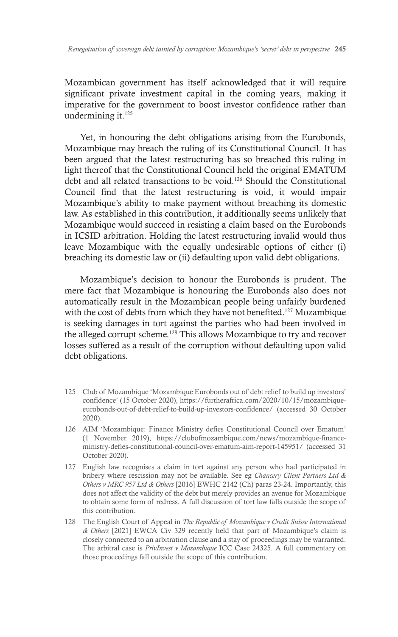Mozambican government has itself acknowledged that it will require significant private investment capital in the coming years, making it imperative for the government to boost investor confidence rather than undermining it.<sup>125</sup>

Yet, in honouring the debt obligations arising from the Eurobonds, Mozambique may breach the ruling of its Constitutional Council. It has been argued that the latest restructuring has so breached this ruling in light thereof that the Constitutional Council held the original EMATUM debt and all related transactions to be void.126 Should the Constitutional Council find that the latest restructuring is void, it would impair Mozambique's ability to make payment without breaching its domestic law. As established in this contribution, it additionally seems unlikely that Mozambique would succeed in resisting a claim based on the Eurobonds in ICSID arbitration. Holding the latest restructuring invalid would thus leave Mozambique with the equally undesirable options of either (i) breaching its domestic law or (ii) defaulting upon valid debt obligations.

Mozambique's decision to honour the Eurobonds is prudent. The mere fact that Mozambique is honouring the Eurobonds also does not automatically result in the Mozambican people being unfairly burdened with the cost of debts from which they have not benefited.<sup>127</sup> Mozambique is seeking damages in tort against the parties who had been involved in the alleged corrupt scheme.128 This allows Mozambique to try and recover losses suffered as a result of the corruption without defaulting upon valid debt obligations.

- 125 Club of Mozambique 'Mozambique Eurobonds out of debt relief to build up investors' confidence' (15 October 2020), https://furtherafrica.com/2020/10/15/mozambiqueeurobonds-out-of-debt-relief-to-build-up-investors-confidence/ (accessed 30 October 2020).
- 126 AIM 'Mozambique: Finance Ministry defies Constitutional Council over Ematum' (1 November 2019), https://clubofmozambique.com/news/mozambique-financeministry-defies-constitutional-council-over-ematum-aim-report-145951/ (accessed 31 October 2020).
- 127 English law recognises a claim in tort against any person who had participated in bribery where rescission may not be available. See eg *Chancery Client Partners Ltd & Others v MRC 957 Ltd & Others* [2016] EWHC 2142 (Ch) paras 23-24. Importantly, this does not affect the validity of the debt but merely provides an avenue for Mozambique to obtain some form of redress. A full discussion of tort law falls outside the scope of this contribution.
- 128 The English Court of Appeal in *The Republic of Mozambique v Credit Suisse International & Others* [2021] EWCA Civ 329 recently held that part of Mozambique's claim is closely connected to an arbitration clause and a stay of proceedings may be warranted. The arbitral case is *PrivInvest v Mozambique* ICC Case 24325. A full commentary on those proceedings fall outside the scope of this contribution.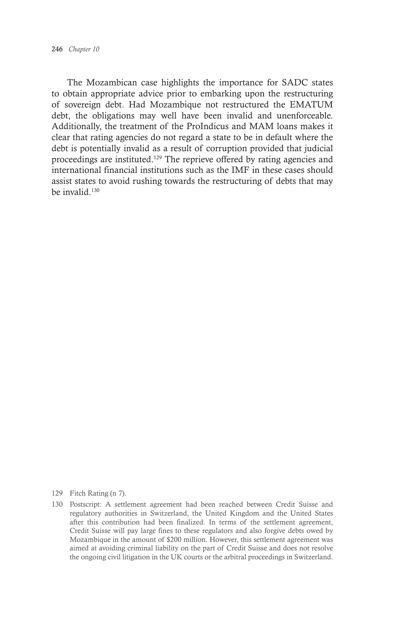The Mozambican case highlights the importance for SADC states to obtain appropriate advice prior to embarking upon the restructuring of sovereign debt. Had Mozambique not restructured the EMATUM debt, the obligations may well have been invalid and unenforceable. Additionally, the treatment of the ProIndicus and MAM loans makes it clear that rating agencies do not regard a state to be in default where the debt is potentially invalid as a result of corruption provided that judicial proceedings are instituted.129 The reprieve offered by rating agencies and international financial institutions such as the IMF in these cases should assist states to avoid rushing towards the restructuring of debts that may be invalid.130

- 129 Fitch Rating (n 7).
- 130 Postscript: A settlement agreement had been reached between Credit Suisse and regulatory authorities in Switzerland, the United Kingdom and the United States after this contribution had been finalized. In terms of the settlement agreement, Credit Suisse will pay large fines to these regulators and also forgive debts owed by Mozambique in the amount of \$200 million. However, this settlement agreement was aimed at avoiding criminal liability on the part of Credit Suisse and does not resolve the ongoing civil litigation in the UK courts or the arbitral proceedings in Switzerland.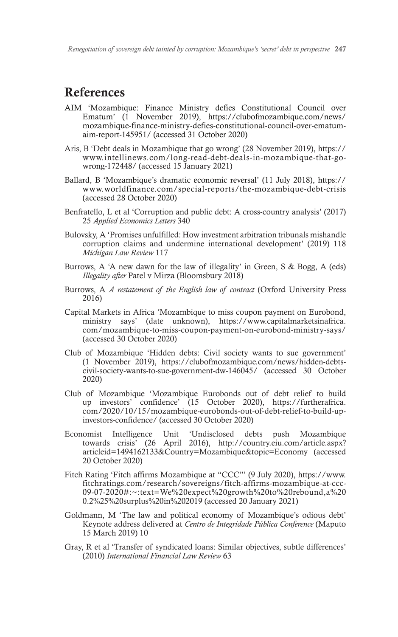# References

- AIM 'Mozambique: Finance Ministry defies Constitutional Council over Ematum' (1 November 2019), https://clubofmozambique.com/news/ mozambique-finance-ministry-defies-constitutional-council-over-ematumaim-report-145951/ (accessed 31 October 2020)
- Aris, B 'Debt deals in Mozambique that go wrong' (28 November 2019), https:// www.intellinews.com/long-read-debt-deals-in-mozambique-that-gowrong-172448/ (accessed 15 January 2021)
- Ballard, B 'Mozambique's dramatic economic reversal' (11 July 2018), https:// www.worldfinance.com/special-reports/the-mozambique-debt-crisis (accessed 28 October 2020)
- Benfratello, L et al 'Corruption and public debt: A cross-country analysis' (2017) 25 *Applied Economics Letters* 340
- Bulovsky, A 'Promises unfulfilled: How investment arbitration tribunals mishandle corruption claims and undermine international development' (2019) 118 *Michigan Law Review* 117
- Burrows, A 'A new dawn for the law of illegality' in Green, S & Bogg, A (eds) *Illegality after* Patel v Mirza (Bloomsbury 2018)
- Burrows, A *A restatement of the English law of contract* (Oxford University Press 2016)
- Capital Markets in Africa 'Mozambique to miss coupon payment on Eurobond, ministry says' (date unknown), https://www.capitalmarketsinafrica. com/mozambique-to-miss-coupon-payment-on-eurobond-ministry-says/ (accessed 30 October 2020)
- Club of Mozambique 'Hidden debts: Civil society wants to sue government' (1 November 2019), https://clubofmozambique.com/news/hidden-debtscivil-society-wants-to-sue-government-dw-146045/ (accessed 30 October 2020)
- Club of Mozambique 'Mozambique Eurobonds out of debt relief to build up investors' confidence' (15 October 2020), https://furtherafrica. com/2020/10/15/mozambique-eurobonds-out-of-debt-relief-to-build-upinvestors-confidence/ (accessed 30 October 2020)
- Economist Intelligence Unit 'Undisclosed debts push Mozambique towards crisis' (26 April 2016), http://country.eiu.com/article.aspx? articleid=1494162133&Country=Mozambique&topic=Economy (accessed 20 October 2020)
- Fitch Rating 'Fitch affirms Mozambique at "CCC"' (9 July 2020), https://www. fitchratings.com/research/sovereigns/fitch-affirms-mozambique-at-ccc-09-07-2020#:~:text=We%20expect%20growth%20to%20rebound,a%20 0.2%25%20surplus%20in%202019 (accessed 20 January 2021)
- Goldmann, M 'The law and political economy of Mozambique's odious debt' Keynote address delivered at *Centro de Integridade Pública Conference* (Maputo 15 March 2019) 10
- Gray, R et al 'Transfer of syndicated loans: Similar objectives, subtle differences' (2010) *International Financial Law Review* 63